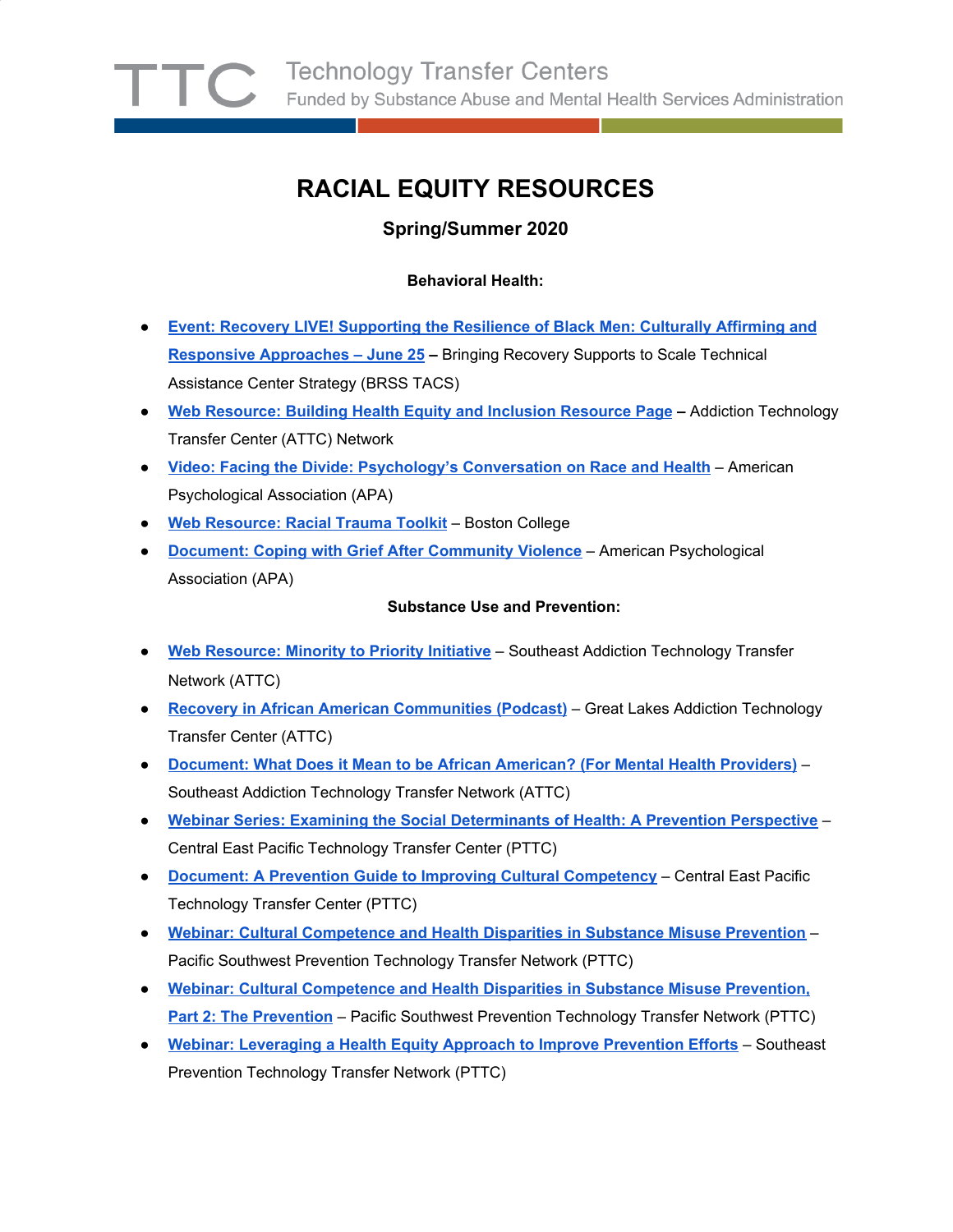# **RACIAL EQUITY RESOURCES**

# **Spring/Summer 2020**

## **Behavioral Health:**

- **● Event: Recovery LIVE! [Supporting](https://urldefense.com/v3/__https:/www.eventbrite.com/e/recovery-live-supporting-the-resilience-of-black-men-culturally-affirming-and-responsive-approaches-tickets-101812674450__;!!OKyW9jE!yI50gE446ClNkEpd3AI8fqs8MoTO1XfINQre5r_W-Ztc7pezI8h4an0hIiltnunRpQ$) the Resilience of Black Men: Culturally Affirming and Responsive [Approaches](https://urldefense.com/v3/__https:/www.eventbrite.com/e/recovery-live-supporting-the-resilience-of-black-men-culturally-affirming-and-responsive-approaches-tickets-101812674450__;!!OKyW9jE!yI50gE446ClNkEpd3AI8fqs8MoTO1XfINQre5r_W-Ztc7pezI8h4an0hIiltnunRpQ$) – June 25 –** Bringing Recovery Supports to Scale Technical Assistance Center Strategy (BRSS TACS)
- **● Web [Resource:](https://urldefense.com/v3/__https:/attcnetwork.org/centers/global-attc/clas-resources__;!!OKyW9jE!yI50gE446ClNkEpd3AI8fqs8MoTO1XfINQre5r_W-Ztc7pezI8h4an0hIiltFY42qg$) Building Health Equity and Inclusion Resource Page –** Addiction Technology Transfer Center (ATTC) Network
- **● Video: Facing the Divide: [Psychology's](https://urldefense.com/v3/__https:/www.apa.org/education/undergrad/diversity/__;!!OKyW9jE!yI50gE446ClNkEpd3AI8fqs8MoTO1XfINQre5r_W-Ztc7pezI8h4an0hIik6yvl4Cg$) Conversation on Race and Health** American Psychological Association (APA)
- **● Web [Resource:](https://urldefense.com/v3/__https:/www.bc.edu/bc-web/schools/lynch-school/sites/isprc/isprc-advisory-board.html__;!!OKyW9jE!yI50gE446ClNkEpd3AI8fqs8MoTO1XfINQre5r_W-Ztc7pezI8h4an0hIikKCYHaOw$) Racial Trauma Toolkit** Boston College
- **● Document: Coping with Grief After [Community](https://urldefense.com/v3/__https:/store.samhsa.gov/product/Coping-With-Grief-After-Community-Violence/SMA14-4888__;!!OKyW9jE!yI50gE446ClNkEpd3AI8fqs8MoTO1XfINQre5r_W-Ztc7pezI8h4an0hIimL019Bhg$) Violence** American Psychological Association (APA)

#### **Substance Use and Prevention:**

- **● Web [Resource:](https://urldefense.com/v3/__https:/attcnetwork.org/centers/southeast-attc/minority-priority-0__;!!JkUDQA!euOyTPP66eCfrQeo0VLTpqWt5pSefowkyvFZeGvIFaH1vTwUONCGbVNUUp0six242EJZ$) Minority to Priority Initiative** Southeast Addiction Technology Transfer Network (ATTC)
- **● Recovery in African American [Communities](https://urldefense.com/v3/__https:/attcnetwork.org/centers/great-lakes-attc/great-lakes-attc-recovery-month-2019-podcast-series-recovery-african__;!!JkUDQA!euOyTPP66eCfrQeo0VLTpqWt5pSefowkyvFZeGvIFaH1vTwUONCGbVNUUp0si9ENzczx$) (Podcast)** Great Lakes Addiction Technology Transfer Center (ATTC)
- **[Document:](https://urldefense.com/v3/__https:/attcnetwork.org/centers/southeast-attc/product/minority-priority-what-does-it-mean-be-african-american-mental__;!!JkUDQA!euOyTPP66eCfrQeo0VLTpqWt5pSefowkyvFZeGvIFaH1vTwUONCGbVNUUp0si2T7DgYr$) What Does it Mean to be African American? (For Mental Health Providers)** Southeast Addiction Technology Transfer Network (ATTC)
- **Webinar Series: Examining the Social [Determinants](https://urldefense.com/v3/__https://pttcnetwork.org/centers/central-east-pttc/product/social-determinants-health-webinar-series-part-1-2-examining__;!!JkUDQA!ahsF2g93Dl444HI7QiZTyX7PbxGr2icRt6HcNHNMK3zz_CS00LyEDFPGnL8jIN0Q2ZS2$) of Health: A Prevention Perspective** Central East Pacific Technology Transfer Center (PTTC)
- **Document: A Prevention Guide to Improving Cultural [Competency](https://urldefense.com/v3/__https://pttcnetwork.org/centers/central-east-pttc/product/prevention-guide-improving-cultural-competency__;!!JkUDQA!ahsF2g93Dl444HI7QiZTyX7PbxGr2icRt6HcNHNMK3zz_CS00LyEDFPGnL8jIMTwycCT$)** Central East Pacific Technology Transfer Center (PTTC)
- **Webinar: Cultural [Competence](https://urldefense.com/v3/__https://pttcnetwork.org/centers/pacific-southwest-pttc/webinar-cultural-competence-and-health-disparities-substance-misuse__;!!JkUDQA!ahsF2g93Dl444HI7QiZTyX7PbxGr2icRt6HcNHNMK3zz_CS00LyEDFPGnL8jIPEmqrCC$) and Health Disparities in Substance Misuse Prevention** Pacific Southwest Prevention Technology Transfer Network (PTTC)
- **Webinar: Cultural [Competence](https://urldefense.com/v3/__https://pttcnetwork.org/centers/pacific-southwest-pttc/webinar-cultural-competence-and-health-disparities-substance-0__;!!JkUDQA!ahsF2g93Dl444HI7QiZTyX7PbxGr2icRt6HcNHNMK3zz_CS00LyEDFPGnL8jICYceuL1$) and Health Disparities in Substance Misuse Prevention, Part 2: The [Prevention](https://urldefense.com/v3/__https://pttcnetwork.org/centers/pacific-southwest-pttc/webinar-cultural-competence-and-health-disparities-substance-0__;!!JkUDQA!ahsF2g93Dl444HI7QiZTyX7PbxGr2icRt6HcNHNMK3zz_CS00LyEDFPGnL8jICYceuL1$)** – Pacific Southwest Prevention Technology Transfer Network (PTTC)
- **Webinar: [Leveraging](https://urldefense.com/v3/__https://pttcnetwork.org/centers/southeast-pttc/product/webinar-leveraging-health-equity-approach-improve-prevention-efforts__;!!JkUDQA!ahsF2g93Dl444HI7QiZTyX7PbxGr2icRt6HcNHNMK3zz_CS00LyEDFPGnL8jIAPKtnH_$) a Health Equity Approach to Improve Prevention Efforts** Southeast Prevention Technology Transfer Network (PTTC)